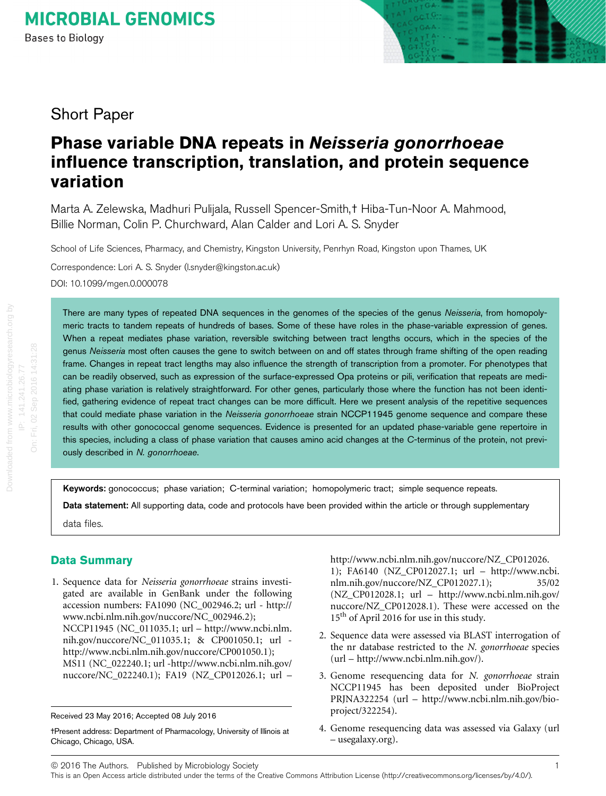

# Short Paper

# Phase variable DNA repeats in Neisseria gonorrhoeae influence transcription, translation, and protein sequence variation

Marta A. Zelewska, Madhuri Pulijala, Russell Spencer-Smith,† Hiba-Tun-Noor A. Mahmood, Billie Norman, Colin P. Churchward, Alan Calder and Lori A. S. Snyder

School of Life Sciences, Pharmacy, and Chemistry, Kingston University, Penrhyn Road, Kingston upon Thames, UK

Correspondence: Lori A. S. Snyder (l.snyder@kingston.ac.uk) DOI: 10.1099/mgen.0.000078

There are many types of repeated DNA sequences in the genomes of the species of the genus Neisseria, from homopolymeric tracts to tandem repeats of hundreds of bases. Some of these have roles in the phase-variable expression of genes. When a repeat mediates phase variation, reversible switching between tract lengths occurs, which in the species of the genus Neisseria most often causes the gene to switch between on and off states through frame shifting of the open reading frame. Changes in repeat tract lengths may also influence the strength of transcription from a promoter. For phenotypes that can be readily observed, such as expression of the surface-expressed Opa proteins or pili, verification that repeats are mediating phase variation is relatively straightforward. For other genes, particularly those where the function has not been identified, gathering evidence of repeat tract changes can be more difficult. Here we present analysis of the repetitive sequences that could mediate phase variation in the Neisseria gonorrhoeae strain NCCP11945 genome sequence and compare these results with other gonococcal genome sequences. Evidence is presented for an updated phase-variable gene repertoire in this species, including a class of phase variation that causes amino acid changes at the C-terminus of the protein, not previously described in N. gonorrhoeae.

Keywords: gonococcus; phase variation; C-terminal variation; homopolymeric tract; simple sequence repeats.

Data statement: All supporting data, code and protocols have been provided within the article or through supplementary

data files.

## Data Summary

1. Sequence data for Neisseria gonorrhoeae strains investigated are available in GenBank under the following accession numbers: FA1090 (NC\_002946.2; url - [http://](http://www.ncbi.nlm.nih.gov/nuccore/NC_002946.2) [www.ncbi.nlm.nih.gov/nuccore/NC\\_002946.2](http://www.ncbi.nlm.nih.gov/nuccore/NC_002946.2)); NCCP11945 (NC\_011035.1; url – [http://www.ncbi.nlm.](http://www.ncbi.nlm.nih.gov/nuccore/NC_011035.1) [nih.gov/nuccore/NC\\_011035.1](http://www.ncbi.nlm.nih.gov/nuccore/NC_011035.1); & [CP001050.1;](http://www.ncbi.nlm.nih.gov/nuccore/CP001050.1) url [http://www.ncbi.nlm.nih.gov/nuccore/CP001050.1\)](http://www.ncbi.nlm.nih.gov/nuccore/CP001050.1); MS11 (NC\_022240.1; url [-http://www.ncbi.nlm.nih.gov/](http://www.ncbi.nlm.nih.gov/nuccore/NC_022240.1) [nuccore/NC\\_022240.1\)](http://www.ncbi.nlm.nih.gov/nuccore/NC_022240.1); FA19 (NZ\_CP012026.1; url – [http://www.ncbi.nlm.nih.gov/nuccore/NZ\\_CP012026.](http://www.ncbi.nlm.nih.gov/nuccore/NZ_CP012026.1) [1\)](http://www.ncbi.nlm.nih.gov/nuccore/NZ_CP012026.1); FA6140 (NZ\_CP012027.1; url – [http://www.ncbi.](http://www.ncbi.nlm.nih.gov/nuccore/NZ_CP012027.1) [nlm.nih.gov/nuccore/NZ\\_CP012027.1](http://www.ncbi.nlm.nih.gov/nuccore/NZ_CP012027.1)); 35/02 (NZ\_CP012028.1; url – [http://www.ncbi.nlm.nih.gov/](http://www.ncbi.nlm.nih.gov/nuccore/NZ_CP012028.1) [nuccore/NZ\\_CP012028.1\)](http://www.ncbi.nlm.nih.gov/nuccore/NZ_CP012028.1). These were accessed on the

2. Sequence data were assessed via BLAST interrogation of the nr database restricted to the N. gonorrhoeae species (url – <http://www.ncbi.nlm.nih.gov/>).

15<sup>th</sup> of April 2016 for use in this study.

- 3. Genome resequencing data for N. gonorrhoeae strain NCCP11945 has been deposited under BioProject PRJNA322254 (url – [http://www.ncbi.nlm.nih.gov/bio](http://www.ncbi.nlm.nih.gov/bioproject/322254)[project/322254](http://www.ncbi.nlm.nih.gov/bioproject/322254)).
- 4. Genome resequencing data was assessed via Galaxy (url – usegalaxy.org).

Received 23 May 2016; Accepted 08 July 2016

<sup>†</sup>Present address: Department of Pharmacology, University of Illinois at Chicago, Chicago, USA.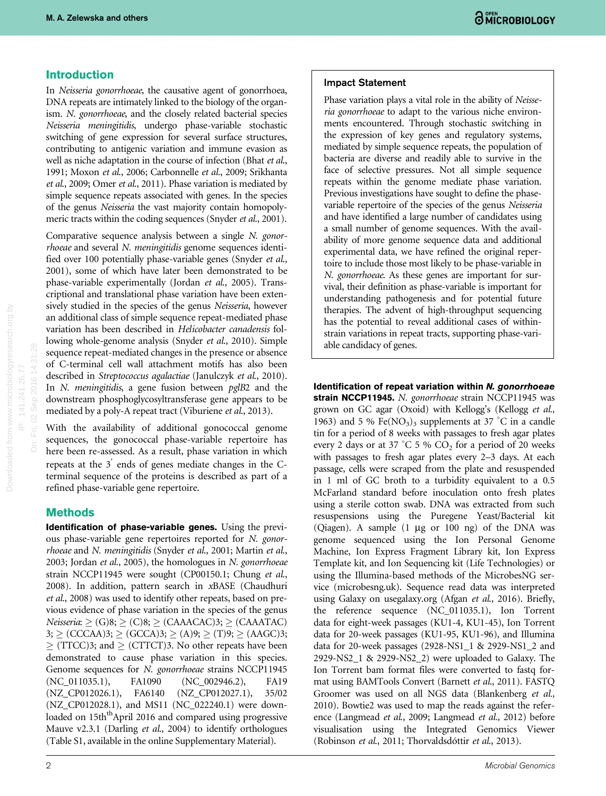### Introduction

In Neisseria gonorrhoeae, the causative agent of gonorrhoea, DNA repeats are intimately linked to the biology of the organism. N. gonorrhoeae, and the closely related bacterial species Neisseria meningitidis, undergo phase-variable stochastic switching of gene expression for several surface structures, contributing to antigenic variation and immune evasion as well as niche adaptation in the course of infection ([Bhat](#page-12-0) et al., [1991; Moxon](#page-12-0) et al., 2006; [Carbonnelle](#page-12-0) et al., 2009; [Srikhanta](#page-13-0) et al[., 2009](#page-13-0); Omer et al[., 2011](#page-12-0)). Phase variation is mediated by simple sequence repeats associated with genes. In the species of the genus Neisseria the vast majority contain homopoly-meric tracts within the coding sequences [\(Snyder](#page-13-0) et al., 2001).

Comparative sequence analysis between a single N. gonorrhoeae and several N. meningitidis genome sequences identi-fied over 100 potentially phase-variable genes [\(Snyder](#page-13-0) et al., [2001](#page-13-0)), some of which have later been demonstrated to be phase-variable experimentally (Jordan et al[., 2005](#page-12-0)). Transcriptional and translational phase variation have been extensively studied in the species of the genus Neisseria, however an additional class of simple sequence repeat-mediated phase variation has been described in Helicobacter canadensis following whole-genome analysis (Snyder et al[., 2010](#page-13-0)). Simple sequence repeat-mediated changes in the presence or absence of C-terminal cell wall attachment motifs has also been described in Streptococcus agalactiae ([Janulczyk](#page-12-0) et al., 2010). In N. meningitidis, a gene fusion between pglB2 and the downstream phosphoglycosyltransferase gene appears to be mediated by a poly-A repeat tract ([Viburiene](#page-13-0) et al., 2013).

With the availability of additional gonococcal genome sequences, the gonococcal phase-variable repertoire has here been re-assessed. As a result, phase variation in which repeats at the  $3'$  ends of genes mediate changes in the Cterminal sequence of the proteins is described as part of a refined phase-variable gene repertoire.

### **Methods**

Identification of phase-variable genes. Using the previous phase-variable gene repertoires reported for N. gonorrhoeae and N. meningitidis [\(Snyder](#page-13-0) et al., 2001; [Martin](#page-12-0) et al., [2003](#page-12-0); [Jordan](#page-12-0) et al., 2005), the homologues in N. gonorrhoeae strain NCCP11945 were sought (CP00150.1; [Chung](#page-12-0) et al., [2008](#page-12-0)). In addition, pattern search in xBASE ([Chaudhuri](#page-12-0) et al[., 2008](#page-12-0)) was used to identify other repeats, based on previous evidence of phase variation in the species of the genus  $Neisseria: \geq (G)8; \geq (C)8; \geq (CAAACAC): \geq (CAAATAC)$  $3; \geq (CCCAA)3; \geq (GCCA)3; \geq (A)9; \geq (T)9; \geq (AAGC)3;$  $\geq$  (TTCC)3; and  $\geq$  (CTTCT)3. No other repeats have been demonstrated to cause phase variation in this species. Genome sequences for N. gonorrhoeae strains NCCP11945 (NC\_011035.1), FA1090 (NC\_002946.2), FA19 (NZ\_CP012026.1), FA6140 (NZ\_CP012027.1), 35/02 (NZ\_CP012028.1), and MS11 (NC\_022240.1) were downloaded on 15th<sup>th</sup>April 2016 and compared using progressive Mauve v2.3.1 [\(Darling](#page-12-0) et al., 2004) to identify orthologues (Table S1, available in the online Supplementary Material).

#### Impact Statement

Phase variation plays a vital role in the ability of Neisseria gonorrhoeae to adapt to the various niche environments encountered. Through stochastic switching in the expression of key genes and regulatory systems, mediated by simple sequence repeats, the population of bacteria are diverse and readily able to survive in the face of selective pressures. Not all simple sequence repeats within the genome mediate phase variation. Previous investigations have sought to define the phasevariable repertoire of the species of the genus Neisseria and have identified a large number of candidates using a small number of genome sequences. With the availability of more genome sequence data and additional experimental data, we have refined the original repertoire to include those most likely to be phase-variable in N. gonorrhoeae. As these genes are important for survival, their definition as phase-variable is important for understanding pathogenesis and for potential future therapies. The advent of high-throughput sequencing has the potential to reveal additional cases of withinstrain variations in repeat tracts, supporting phase-variable candidacy of genes.

Identification of repeat variation within N. gonorrhoeae strain NCCP11945. N. gonorrhoeae strain NCCP11945 was grown on GC agar (Oxoid) with Kellogg's ([Kellogg](#page-12-0) et al., [1963](#page-12-0)) and 5 % Fe(NO<sub>3</sub>)<sub>3</sub> supplements at 37 °C in a candle tin for a period of 8 weeks with passages to fresh agar plates every 2 days or at 37 °C 5 %  $CO<sub>2</sub>$  for a period of 20 weeks with passages to fresh agar plates every 2–3 days. At each passage, cells were scraped from the plate and resuspended in 1 ml of GC broth to a turbidity equivalent to a 0.5 McFarland standard before inoculation onto fresh plates using a sterile cotton swab. DNA was extracted from such resuspensions using the Puregene Yeast/Bacterial kit (Qiagen). A sample  $(1 \mu g)$  or  $(100 \mu g)$  of the DNA was genome sequenced using the Ion Personal Genome Machine, Ion Express Fragment Library kit, Ion Express Template kit, and Ion Sequencing kit (Life Technologies) or using the Illumina-based methods of the MicrobesNG service (microbesng.uk). Sequence read data was interpreted using Galaxy on usegalaxy.org (Afgan et al[., 2016\)](#page-12-0). Briefly, the reference sequence (NC\_011035.1), Ion Torrent data for eight-week passages (KU1-4, KU1-45), Ion Torrent data for 20-week passages (KU1-95, KU1-96), and Illumina data for 20-week passages (2928-NS1\_1 & 2929-NS1\_2 and 2929-NS2\_1 & 2929-NS2\_2) were uploaded to Galaxy. The Ion Torrent bam format files were converted to fastq for-mat using BAMTools Convert [\(Barnett](#page-12-0) et al., 2011). FASTO Groomer was used on all NGS data ([Blankenberg](#page-12-0) et al., [2010](#page-12-0)). Bowtie2 was used to map the reads against the reference ([Langmead](#page-12-0) et al., 2009; [Langmead](#page-12-0) et al., 2012) before visualisation using the Integrated Genomics Viewer ([Robinson](#page-12-0) et al., 2011; [Thorvaldsdóttir](#page-13-0) et al., 2013).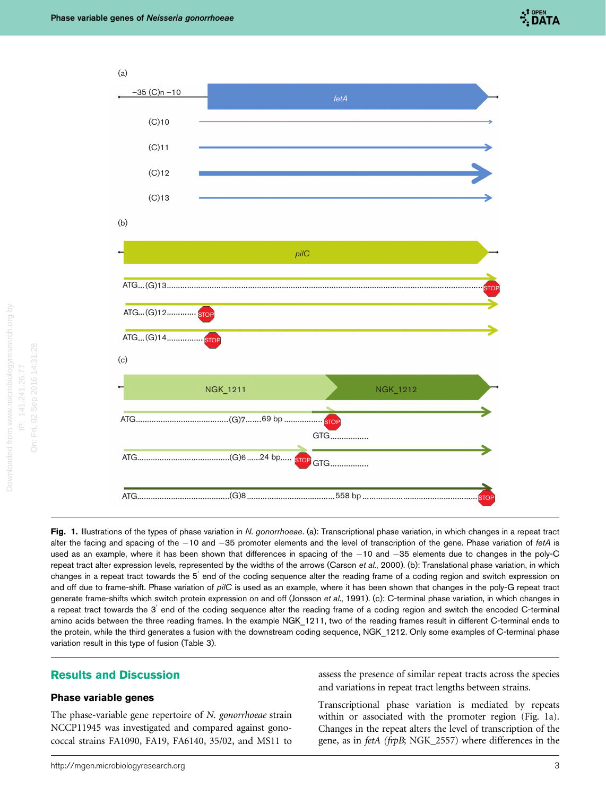

<span id="page-2-0"></span>



Fig. 1. Illustrations of the types of phase variation in N. gonorrhoeae. (a): Transcriptional phase variation, in which changes in a repeat tract alter the facing and spacing of the  $-10$  and  $-35$  promoter elements and the level of transcription of the gene. Phase variation of *fetA* is used as an example, where it has been shown that differences in spacing of the  $-10$  and  $-35$  elements due to changes in the poly-C repeat tract alter expression levels, represented by the widths of the arrows [\(Carson](#page-12-0) et al., 2000). (b): Translational phase variation, in which changes in a repeat tract towards the 5<sup>'</sup> end of the coding sequence alter the reading frame of a coding region and switch expression on and off due to frame-shift. Phase variation of pilC is used as an example, where it has been shown that changes in the poly-G repeat tract generate frame-shifts which switch protein expression on and off ([Jonsson](#page-12-0) et al., 1991). (c): C-terminal phase variation, in which changes in a repeat tract towards the 3<sup>'</sup> end of the coding sequence alter the reading frame of a coding region and switch the encoded C-terminal amino acids between the three reading frames. In the example NGK\_1211, two of the reading frames result in different C-terminal ends to the protein, while the third generates a fusion with the downstream coding sequence, NGK\_1212. Only some examples of C-terminal phase variation result in this type of fusion ([Table 3\)](#page-7-0).

### Results and Discussion

#### Phase variable genes

The phase-variable gene repertoire of N. gonorrhoeae strain NCCP11945 was investigated and compared against gonococcal strains FA1090, FA19, FA6140, 35/02, and MS11 to assess the presence of similar repeat tracts across the species and variations in repeat tract lengths between strains.

Transcriptional phase variation is mediated by repeats within or associated with the promoter region (Fig. 1a). Changes in the repeat alters the level of transcription of the gene, as in fetA (frpB; NGK\_2557) where differences in the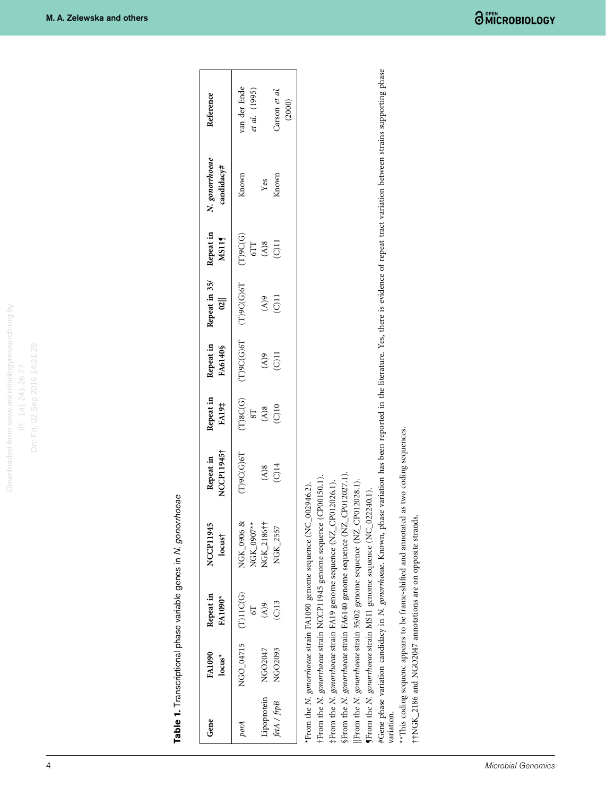Table 1. Transcriptional phase variable genes in N. gonorrhoeae Table 1. Transcriptional phase variable genes in N. gonorrhoeae

<span id="page-3-0"></span>

| Repeat in<br><b>FA1090</b><br>Gene                                                                                                                                                                                                                                                                                                                                                                                                                                                                                                                                                                                                                                                                                                                                                                                          |                            |                         |                    |                           |                                |                              |                              |                               |
|-----------------------------------------------------------------------------------------------------------------------------------------------------------------------------------------------------------------------------------------------------------------------------------------------------------------------------------------------------------------------------------------------------------------------------------------------------------------------------------------------------------------------------------------------------------------------------------------------------------------------------------------------------------------------------------------------------------------------------------------------------------------------------------------------------------------------------|----------------------------|-------------------------|--------------------|---------------------------|--------------------------------|------------------------------|------------------------------|-------------------------------|
| <b>FA1090*</b><br>$locus^*$                                                                                                                                                                                                                                                                                                                                                                                                                                                                                                                                                                                                                                                                                                                                                                                                 | NCCP11945<br>$locus+$      | NCCP11945†<br>Repeat in | Repeat in<br>FA19# | Repeat in<br>FA6140\$     | Repeat in 35/<br>$\frac{1}{2}$ | Repeat in<br>MS115           | N. gonorrhoeae<br>candidacy# | Reference                     |
| (T)11C(G)<br>NGO_04715<br>porA                                                                                                                                                                                                                                                                                                                                                                                                                                                                                                                                                                                                                                                                                                                                                                                              | NGK_0906 &<br>$NGK 0907**$ | $(T)$ 9 $C$ (G) $6T$    | (T)8C(G)<br>78     | (T)9C(G)6T                | $(T)$ 9 $C(G)$ 6 $T$           | $(T)$ 9 $C(G)$<br><b>STT</b> | Known                        | van der Ende<br>et al. (1995) |
| $\mathcal{S}(A)$<br>NGO2047<br>Lipoprotein                                                                                                                                                                                                                                                                                                                                                                                                                                                                                                                                                                                                                                                                                                                                                                                  | NGK_2186†1                 | (A)8                    | (A)8               | $\mathcal{L}(\mathbb{A})$ | $\mathcal{L}(\mathbb{A})$      | $\mathbf{A})\mathbf{8}$      | Yes                          |                               |
| $\frac{13}{2}$<br>NGO2093<br>fetA / frpB                                                                                                                                                                                                                                                                                                                                                                                                                                                                                                                                                                                                                                                                                                                                                                                    | NGK 2557                   | $(C)$ 14                | (C)10              | $(C)$ 11                  | $\overline{C}$                 | $(C)$ 11                     | Known                        | Carson et al.<br>(2000)       |
| #Gene phase variation candidacy in N. gonorrhoeae. Known, phase variation has been reported in the literature. Yes, there is evidence of repeat tract variation between strains supporting phase<br>**This coding sequenc appears to be frame-shifted and annotated as two coding sequences.<br>§From the N. gonorrhoeae strain FA6140 genome sequence (NZ_CP012027.1).<br>†From the N. gonorrhoeae strain NCCP11945 genome sequence (CP00150.1).<br>#From the N. gonorrhoeae strain FA19 genome sequence (NZ_CP012026.1).<br>*From the N. gonorrhoeae strain FA1090 genome sequence (NC_002946.2).<br>(From the N. gonorrhoeae strain MS11 genome sequence (NC_022240.1).<br>††NGK_2186 and NGO2047 annotations are on opposite strands.<br>From the <i>N. gonorrhoeae</i> strain 35/02 genome sequence (NZ_<br>variation. |                            | CP012028.1).            |                    |                           |                                |                              |                              |                               |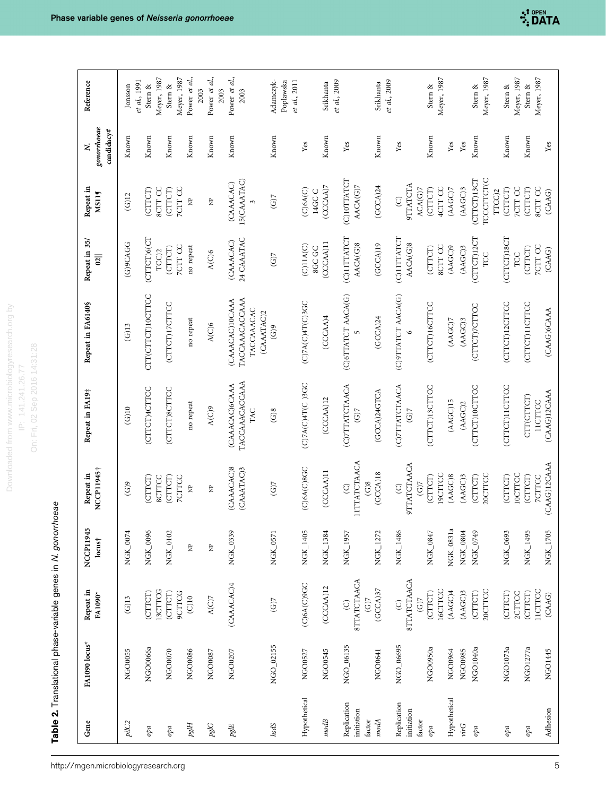esearch.org by Downloaded from www.microbiologyresearch.org by On: Fri, 02 Sep 2016 14:31:28 On: Fri, 02 Sep 2016 14:31:28 Downloaded from www.microbiology IP: 141.241.26.77 IP: 141.241.26.77

> Table 2. Translational phase-variable genes in N. gonorrhoeae **Table 2.** Translational phase-variable genes in N.  $g$ onorrhoeae

http://mgen.microbiologyresearch.org

<span id="page-4-0"></span>

| Reference                       | Jonsson        | et al., 1991<br>Stern $\&$ | Meyer, 1987    | Stern $\&$     | Meyer, 1987    | Power et al.,      | Power et al.,<br>2003 | 2003           | Power et al.,   | 2003                                              | Adamczyk-                    | et al., 2011<br>Poplawska |                            | Srikhanta | et al., 2009                                                 | Srikhanta    | et al., 2009                     |                 | Meyer, 1987<br>Stern &    |              |           | Stern &        | Meyer, 1987          | Stern &        | Meyer, 1987               | Meyer, 1987<br>Stern & |              |
|---------------------------------|----------------|----------------------------|----------------|----------------|----------------|--------------------|-----------------------|----------------|-----------------|---------------------------------------------------|------------------------------|---------------------------|----------------------------|-----------|--------------------------------------------------------------|--------------|----------------------------------|-----------------|---------------------------|--------------|-----------|----------------|----------------------|----------------|---------------------------|------------------------|--------------|
| gonorrhoeae<br>candidacy#       | Known          | Known                      |                | Known          |                | Known              |                       | Known          | Known           |                                                   | Known                        |                           | Yes                        | Known     | Yes                                                          | Known        | Yes                              |                 | Known                     | Yes          | Yes       | Known          |                      | Known          |                           | Known                  | Yes          |
| Repeat in<br><b>MS115</b>       | (G)12          | (CTTCT)                    | <b>SCTT CC</b> | (CTTCT)        | <b>7CTT CC</b> | $\approx$          |                       | È              | (CAAACAC)       | 15(CAAATAC)<br>$\mathfrak{S}$                     | $(G)$ 7                      |                           | (C)6A(C)<br>14GC C         | (CCCAA)7  | (C)10TTATCT<br>AACA(G)7                                      | (GCCA)24     | <b>9TTATCTA</b><br>$\odot$       | ACA(G)7         | 4CTT CC<br>(CTTCT)        | (AAGC)7      | (AAGC)3   | (CTTCT)13CT    | TCCCTTCT(C<br>TTCC)2 | (CTTCT)        | <b>TCTT CC</b><br>(CTTCT) | <b>SCTT CC</b>         | (CAAG)       |
| Repeat in 35/<br>$\frac{1}{2}$  | (G)9CAGG       | (CTTCT)6(CT                | $TCC$ )2       | (CTTCT)        | <b>7CIT CC</b> | no repeat          | A(C)6                 |                | (CAAACAC)       | 24 CAAATAC                                        | $(G)$ 7                      |                           | (C)11A(C)<br><b>SGC GC</b> | (CCCAA)11 | (C)1ITTATCT<br>AACA(G)8                                      | (GCCA)19     | (C)11TTATCT<br>AACA(G)8          |                 | <b>SCTT CC</b><br>(CTTCT) | (AAGC)9      | (AAGC)3   | (CTTCT)12CT    | TCC                  | (CITCT)18CT    | (CTTCT)<br>TCC            | <b>7CTT CC</b>         | (CAAG)       |
| Repeat in FA6140\$              | $(G)$ 13       | CTT(CTTCT)10CTTCC          |                | (CITCT)17CTTCC |                | no repeat          | A(C)6                 |                | (CAAACAC)10CAAA | TACCAAACACCAAA<br><b>TACCAAACAC</b><br>(CAAATAC)2 | (G)9                         |                           | (C)7A(C)4T(C)3GC           | (CCCAA)4  | (C)6TTATCT AACA(G)<br>$\overline{5}$                         | (GCCA)24     | (C)9TTATCT AACA(G)               |                 | (CTTCT)16CTTCC            | (AAGC)7      | (AGC)3    | (CTTCT)7CTTCC  |                      | (CTTCT)12CTTCC | (CTTCT)11CTTCC            |                        | (CAAG)6CAAA  |
| Repeat in FA19#                 | (G)10          | (CTTCT)4CTTCC              |                | (CTTCT)8CTTCC  |                | no repeat          | A(C)9                 |                | (CAAACAC)6CAAA  | TACCAAACACCAAA<br>TAC                             | $\widetilde{G}$ <sup>8</sup> |                           | $CO2AC$ $AT(C)3GC$         | (CCCAM)12 | (C)7TTATCTAACA<br>$\widetilde{G}$                            | (GCCA)24GTCA | (C)7TTATCTAACA<br>$\overline{G}$ |                 | (CITCT)13CITCC            | (AAGC)15     | (AAGC)2   | (CITCT)10CITCC |                      | (CITCT)11CTTCC | CTT(CTTCT)                | <b>IICTTCC</b>         | (CAAG)12CAAA |
| NCCP11945†<br>Repeat in         | $\binom{6}{9}$ | (CTTCT)                    | <b>SCTTCC</b>  | (CTTCT)        | <b>7CTTCC</b>  | $\approx$          |                       | $\overline{z}$ | (CAAACAC)8      | (CAAATAC)3                                        | (G)                          |                           | (C)6A(C)8GC                | (CCCAA)11 | <b>IITTATCTAACA</b><br>$\mathcal{S}(\mathcal{C})$<br>$\odot$ | $(GCCA)$ 18  | <b>9TTATCTAACA</b><br>$\odot$    | $(G)$ 7         | <b>19CTTCC</b><br>(CTTCT) | (AMGC)8      | $(ABC)$ 3 | (CTTCT)        | 20CTTCC              | (CTTCT)        | 10CTTCC<br>(CTTCT)        | <b>7CTTCC</b>          | (CAAG)12CAAA |
| NCCP11945<br>locus <sup>†</sup> | NGK_0074       | NGK_0096                   |                | NGK_0102       |                | $\mathbf{\hat{z}}$ |                       | $\hat{\Xi}$    | NGK_0339        |                                                   | NGK_0571                     |                           | NGK_1405                   | NGK_1384  | NGK_1957                                                     | NGK_1272     | NGK_1486                         |                 | NGK_0847                  | NGK_0831a    | NGK_0804  | NGK_0749       |                      | NGK_0693       |                           | NGK_1495               | NGK_1705     |
| Repeat in<br>FA1090*            | (G)13          | (CTTCT)                    | 13CTTCG        | (CTTCT)        | <b>9CTTCG</b>  | $\overline{C}$ 10  |                       | $A(C)7$        | (CAAACAC)4      |                                                   | $(G)$ 7                      |                           | (C)6A(C)9GC                | (CCCAA)12 | <b>STTATCTAACA</b><br>$\widetilde{G}$<br>$\odot$             | (GCCA)37     | <b>STTATCTAACA</b><br>$\odot$    | $\widetilde{G}$ | 16CTTCC<br>(CTTCT)        | (AAGC)4      | (AGC)3    | (CTTCT)        | 20CTTCC              | (CTTCT)        | (CTTCT)<br>2CTTCC         | 11CTTCC                | (CAAG)       |
| FA1090 locus*                   | NGO0055        | NGO0066a                   |                | NGO0070        |                | NGO0086            | NGO0087               |                | NGO0207         |                                                   | NGO_02155                    |                           | NGO0527                    | NGO0545   | NGO_06135                                                    | NGO0641      | NGO_06695                        |                 | NGO0950a                  | NGO0964      | NGO0985   | NGO1040a       |                      | NGO1073a       | NGO1277a                  |                        | NGO1445      |
| Gene                            | pilC2          | opa                        |                | opa            |                | pglH               |                       | pglG           | pgIE            |                                                   | hsdS                         |                           | Hypothetical               | $mod B$   | Replication<br>initiation<br>factor                          | modA         | Replication<br>initiation        | factor          | opa                       | Hypothetical | virG      | opa            |                      | opa            |                           | opa                    | Adhesion     |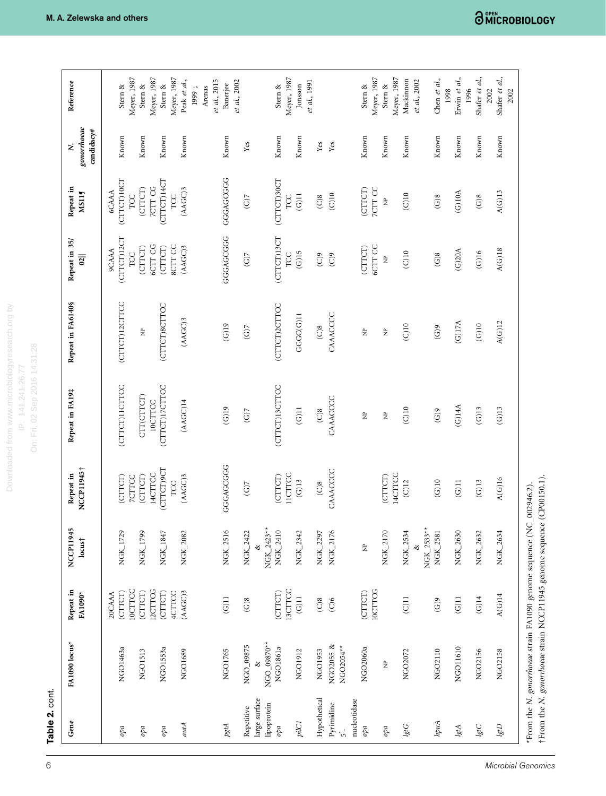Table 2. cont. Table 2. cont.

| Gene                         | FA1090 locus*                                                                                                                        | Repeat in<br>FA1090*                | NCCP11945<br>$locus+$  | NCCP11945†<br>Repeat in        | Repeat in FA19#           | Repeat in FA6140\$         | Repeat in 35/<br>$\frac{1}{2}$     | Repeat in<br>MS115                 | gonorrhoeae<br>candidacy#<br>z | Reference                       |
|------------------------------|--------------------------------------------------------------------------------------------------------------------------------------|-------------------------------------|------------------------|--------------------------------|---------------------------|----------------------------|------------------------------------|------------------------------------|--------------------------------|---------------------------------|
| opa                          | NGO1463a                                                                                                                             | <b>IOCTTCC</b><br>(CTTCT)<br>20CAAA | NGK_1729               | (CTTCT)<br><b>7CTTCC</b>       | (CITCT)11CITCC            | (CTTCT)12CTTCC             | (CTTCT)12CT<br><b>9CAAA</b><br>TCC | (CTTCT)10CT<br><b>6CAAA</b><br>TCC | Known                          | Meyer, 1987<br>Stern &          |
| opa                          | NGO1513                                                                                                                              | (CTTCT)                             | NGK_1799               | (CITCT)                        | CTT(CTTCT)                | $\mathbf{\hat{z}}$         | (CTTCT)                            | (CTTCT)                            | Known                          | Stern $\&$                      |
| $\emph{opa}$                 | NGO1553a                                                                                                                             | 12CTTCG<br>(CTTCT)                  | NGK_1847               | CITCT)9CT<br>14CTTCC           | (CITCT)17CITCC<br>10CTTCC | (CTTCT)8CTTCC              | 6CTT CG<br>(CTTCT)                 | (CTTCT)14CT<br><b>7CTT CG</b>      | Known                          | Meyer, 1987<br>Stern $\&$       |
| autA                         | NGO1689                                                                                                                              | 4CTTCC<br>(AAGC)3                   | NGK_2082               | $(ABC)$ 3<br>TCC               | $(ABC)$ 14                | (AGC)3                     | <b>SCTT CC</b><br>(AAGC)3          | (AAGC)3<br>TCC                     | Known                          | Meyer, 1987<br>Peak et al.,     |
|                              |                                                                                                                                      |                                     |                        |                                |                           |                            |                                    |                                    |                                | et al., 2015<br>Arenas<br>1999; |
| $p g t A$                    | NGO1765                                                                                                                              | $\left( \mathrm{G}\right) 11$       | NGK_2516               | GGGAGCGGG                      | $($ G $)$ 19              | $(G)$ 19                   | GGGAGCGGG                          | GGGAGCGGG                          | Known                          | et al., 2002<br>Banerjee        |
| Repetitive                   | NGO_09875                                                                                                                            | $\mathcal{S}(\mathcal{O})$          | NGK_2422               | (G)                            | $\widetilde{G}$           | $(G)$ 7                    | $\widetilde{G}$                    | (G)                                | $\mathbf{Yes}$                 |                                 |
| large surface<br>lipoprotein | NGO_09870**                                                                                                                          |                                     | NGK_2423**<br>⊗        |                                |                           |                            |                                    |                                    |                                |                                 |
| opa                          | NGO1861a                                                                                                                             | <b>ISCITICC</b><br>(CTTCT)          | NGK_2410               | <b>IICTTCC</b><br>(CTTCT)      | (CTTCT)13CTTCC            | (CTTCT)2CTTCC              | (CTTCT)13CT<br>TCC                 | (CTTCT)30CT<br>TCC                 | Known                          | Meyer, 1987<br>Stern &          |
| pilCI                        | NGO1912                                                                                                                              | $\overline{G}$ 11                   | NGK_2342               | (G)13                          | $(G)$ 11                  | GGC(G)11                   | $\rm (G)15$                        | $(G)$ l l                          | Known                          | Jonsson                         |
| Hypothetical                 | NGO1953                                                                                                                              | $\widetilde{C}$                     | NGK_2297               | $\widetilde{\text{C}}$         | $\widetilde{C}$           | $\widetilde{C}$ 8          | $\widetilde{C}$                    | $\rm (C)8$                         | $\mathbf{Yes}$                 | et al., 1991                    |
| Pyrimidine<br>$\overline{5}$ | NGO2055 &<br>NGO2054**                                                                                                               | $\widetilde{C}$                     | NGK_2176               | CAAACCCC                       | CAAACCCC                  | CAAACCCC                   | $\widetilde{C}$                    | $\rm (C)10$                        | Yes                            |                                 |
| nucleotidase                 |                                                                                                                                      |                                     |                        |                                |                           |                            |                                    |                                    |                                |                                 |
| opa                          | NGO2060a                                                                                                                             | <b>10CTTCG</b><br>(CTTCT)           | È                      |                                | È                         | $\hat{\vec{z}}$            | 6CTT CC<br>(CTTCT)                 | <b>7CIT CC</b><br>(CITCT)          | Known                          | Meyer, 1987<br>Stern &          |
| $\emph{op}$                  | È                                                                                                                                    |                                     | NGK_2170               | (CTTCT)                        | È                         | $\frac{P}{Z}$              | $\tilde{\Xi}$                      | $\hat{\mathbf{z}}$                 | Known                          | Stern &                         |
| $lgtG$                       | NGO2072                                                                                                                              | $\overline{C}$                      | NGK_2534               | 14CTTCC<br>(C)12               | $\rm (C)10$               | $\rm (C)10$                | $\rm (C)10$                        | $\overline{\text{C}}$ 10           | Known                          | Meyer, 1987<br>Mackinnon        |
| hpuA                         | NGO2110                                                                                                                              | $\mathcal{C}(\mathcal{O})$          | NGK_2533**<br>NGK_2581 | $(G)10$                        | $\binom{G}{0}$            | $\mathcal{C}(\mathcal{D})$ | $\widetilde{\text{G}}$ )8          | $\rm (G)8$                         | Known                          | Chen et al.,<br>et al., 2002    |
| lgtA                         | NGO11610                                                                                                                             | $\rm (G)11$                         | NGK_2630               | $\left( \mathrm{G} \right)$ 11 | $(G)$ 14A                 | $\rm (G)17A$               | (G)20A                             | (G)10A                             | Known                          | Erwin et al.,<br>1998           |
| lgtC                         | NGO2156                                                                                                                              | $\rm (G)14$                         | NGK_2632               | $\rm (G)13$                    | $\rm (G)13$               | $\rm (G)10$                | $\rm (G)16$                        | $\rm (G)8$                         | Known                          | Shafer et al,<br>1996           |
| $lgtD$                       | NGO2158                                                                                                                              | $A(G)14$                            | NGK_2634               | $A(G)16$                       | (G)13                     | $A(G)12$                   | $A(G)18$                           | A(G)13                             | Known                          | Shafer et al.,<br>2002<br>2002  |
|                              | †From the N. gonorrhoeae strain NCCP11945 genome sequence (CP00150.1).<br>*From the N. gonorrhoeae strain FA1090 genome sequence (NC |                                     |                        | $-002946.2$ ).                 |                           |                            |                                    |                                    |                                |                                 |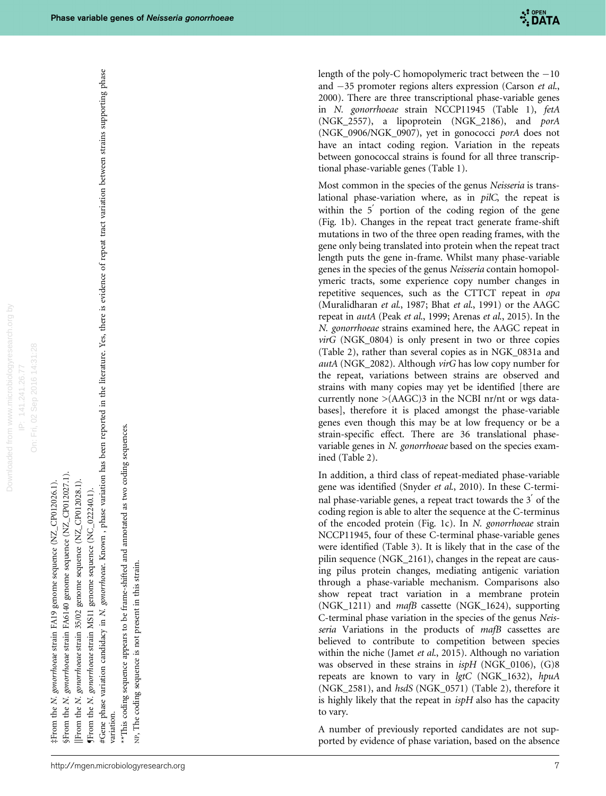Downloaded from www.microbiologyresearch.org by On: Fri, 02 Sep 2016 14:31:28 On: Fri, 02 Sep 2016 14:31:28 IP: 141.241.26.77 IP: 141.241.26.77 Downloaded from

‡From the N. gonorrhoeae strain FA19 genome sequence (NZ\_CP012026.1). From the N. gonorrhoeae strain FA19 genome sequence (NZ\_CP012026.1).

§From the N. gonorrhoeae strain FA6140 genome sequence (NZ\_CP012027.1). §From the N. gonorrhoeae strain FA6140 genome sequence (NZ\_CP012027.1). [From the N. gonorrhoeae strain 35/02 genome sequence (NZ\_CP012028.1).

||From the N. gonorrhoeae strain 35/02 genome sequence (NZ\_CP012028.1). genome sequence (NC\_022240.1).

¶From the N. gonorrhoeae strain MS11 genome sequence (NC\_022240.1). **fFrom the N.** gonorrhoeae strain MS11

#Gene phase variation candidacy in N. gonorrhoeae. Known , phase variation has been reported in the literature. Yes, there is evidence of repeat tract variation between strains supporting phase #Gene phase variation candidacy in *N. gonorrhoeae*. Known , phase variation has been reported in the literature. Yes, there is evidence of repeat tract variation between strains supporting phase<br>variation.

\*\*This coding sequence appears to be frame-shifted and annotated as two coding sequences. \*\*This coding sequence appears to be frame-shifted and annotated as two coding sequences.

NP, The coding sequence is not present in this strain. NP, The coding sequence is not present in this strain. length of the poly-C homopolymeric tract between the  $-10$ and  $-35$  promoter regions alters expression ([Carson](#page-12-0) *et al.*, [2000\)](#page-12-0). There are three transcriptional phase-variable genes in N. gonorrhoeae strain NCCP11945 ([Table 1](#page-3-0)), fetA (NGK\_2557), a lipoprotein (NGK\_2186), and porA (NGK\_0906/NGK\_0907), yet in gonococci porA does not have an intact coding region. Variation in the repeats between gonococcal strains is found for all three transcriptional phase-variable genes [\(Table 1](#page-3-0)).

Most common in the species of the genus Neisseria is translational phase-variation where, as in pilC, the repeat is within the  $5'$  portion of the coding region of the gene [\(Fig. 1b](#page-2-0)). Changes in the repeat tract generate frame-shift mutations in two of the three open reading frames, with the gene only being translated into protein when the repeat tract length puts the gene in-frame. Whilst many phase-variable genes in the species of the genus Neisseria contain homopolymeric tracts, some experience copy number changes in repetitive sequences, such as the CTTCT repeat in opa [\(Muralidharan](#page-12-0) et al., 1987; Bhat et al[., 1991](#page-12-0)) or the AAGC repeat in autA (Peak et al[., 1999; Arenas](#page-12-0) et al., 2015). In the N. gonorrhoeae strains examined here, the AAGC repeat in  $virG$  (NGK\_0804) is only present in two or three copies [\(Table 2](#page-4-0)), rather than several copies as in NGK\_0831a and autA (NGK\_2082). Although virG has low copy number for the repeat, variations between strains are observed and strains with many copies may yet be identified [there are currently none  $>(AAGC)3$  in the NCBI nr/nt or wgs databases], therefore it is placed amongst the phase-variable genes even though this may be at low frequency or be a strain-specific effect. There are 36 translational phasevariable genes in N. gonorrhoeae based on the species examined [\(Table 2](#page-4-0)).

In addition, a third class of repeat-mediated phase-variable gene was identified [\(Snyder](#page-13-0) et al., 2010). In these C-terminal phase-variable genes, a repeat tract towards the  $3'$  of the coding region is able to alter the sequence at the C-terminus of the encoded protein [\(Fig. 1c\)](#page-2-0). In N. gonorrhoeae strain NCCP11945, four of these C-terminal phase-variable genes were identified [\(Table 3](#page-7-0)). It is likely that in the case of the pilin sequence (NGK\_2161), changes in the repeat are causing pilus protein changes, mediating antigenic variation through a phase-variable mechanism. Comparisons also show repeat tract variation in a membrane protein (NGK\_1211) and mafB cassette (NGK\_1624), supporting C-terminal phase variation in the species of the genus Neisseria Variations in the products of mafB cassettes are believed to contribute to competition between species within the niche (Jamet et al[., 2015\)](#page-12-0). Although no variation was observed in these strains in  $ispH$  (NGK\_0106), (G)8 repeats are known to vary in lgtC (NGK\_1632), hpuA (NGK\_2581), and hsdS (NGK\_0571) ([Table 2](#page-4-0)), therefore it is highly likely that the repeat in ispH also has the capacity to vary.

A number of previously reported candidates are not sup ported by evidence of phase variation, based on the absence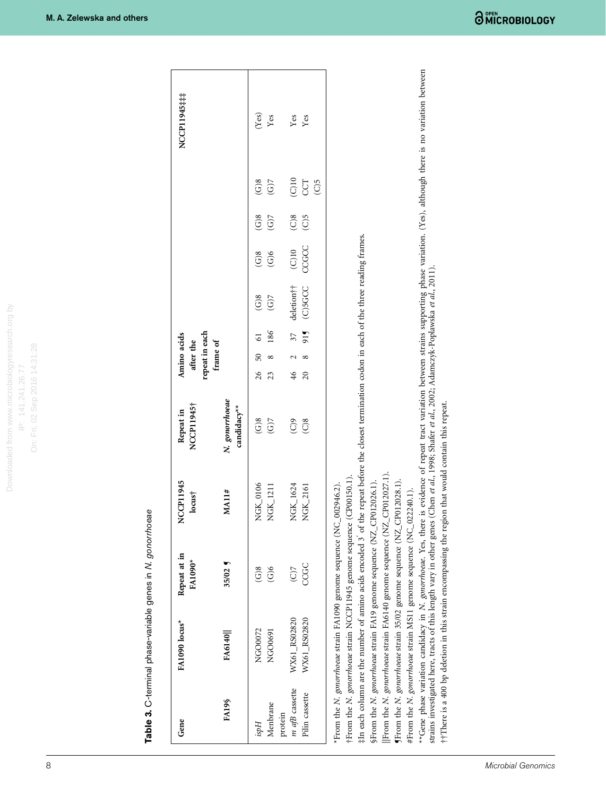Table 3. C-terminal phase-variable genes in N. gonorrhoeae **Table 3.** C-terminal phase-variable genes in N.  $g$ onorrhoeae

<span id="page-7-0"></span>

| Gene                                        | FA1090 locus*                                                                                                                                                                                                                                                                                                                                                                                                                                                                                                                                                                                                               | Repeat at in<br><b>FA1090*</b>                         | NCCP11945<br>locus <sup>†</sup> | NCCP11945†<br>Repeat in                                                                                                                                                                                                                                                                            |          | repeat in each<br>Amino acids<br>after the<br>frame of |           |                                   |                                      |                                   |                                    | NCCP11945##                                                                                                                     |
|---------------------------------------------|-----------------------------------------------------------------------------------------------------------------------------------------------------------------------------------------------------------------------------------------------------------------------------------------------------------------------------------------------------------------------------------------------------------------------------------------------------------------------------------------------------------------------------------------------------------------------------------------------------------------------------|--------------------------------------------------------|---------------------------------|----------------------------------------------------------------------------------------------------------------------------------------------------------------------------------------------------------------------------------------------------------------------------------------------------|----------|--------------------------------------------------------|-----------|-----------------------------------|--------------------------------------|-----------------------------------|------------------------------------|---------------------------------------------------------------------------------------------------------------------------------|
| <b>FA19\$</b>                               | FA6140                                                                                                                                                                                                                                                                                                                                                                                                                                                                                                                                                                                                                      | $35/02$ $\frac{9}{1}$                                  | MA11#                           | N. gonorrhoeae<br>candidacy**                                                                                                                                                                                                                                                                      |          |                                                        |           |                                   |                                      |                                   |                                    |                                                                                                                                 |
| Menbrane<br>Hasi                            | NGO0072<br>NGO0691                                                                                                                                                                                                                                                                                                                                                                                                                                                                                                                                                                                                          | $\mathcal{S}(\mathcal{C})$<br>$\widetilde{\text{G}}$ 6 | NGK_0106<br>NGK_1211            | $\widetilde{G}$<br>(C)                                                                                                                                                                                                                                                                             | 26<br>23 | $50\,$<br>∞                                            | 186<br>5  | $\widetilde{G}$ 8<br>(6)7         | $\widetilde{G}$<br>$\widetilde{G}$ 6 | $\widetilde{G}$<br>$\overline{G}$ | $\widetilde{G}$<br>$\widetilde{G}$ | (Yes)<br>Yes                                                                                                                    |
| m afB cassette<br>Pilin cassette<br>protein | WX61_RS02820<br>WX61_RS02820                                                                                                                                                                                                                                                                                                                                                                                                                                                                                                                                                                                                | CCGC<br>(C)                                            | NGK_1624<br>NGK_2161            | $\widetilde{C}$<br>$\binom{6}{2}$                                                                                                                                                                                                                                                                  | 46<br>20 | ∞                                                      | 915<br>37 | deletion <sup>††</sup><br>(C)5GCC | CCGCC<br>$($ C) $10$                 | $\widetilde{C}$<br>$\overline{C}$ | $($ C)10<br>$\widetilde{C}$<br>CCT | Yes<br>Yes                                                                                                                      |
|                                             | ††There is a 400 bp deletion in this strain encompassing the region that would contain this repeat.<br>From the N. gonorrhoeae strain FA6140 genome sequence (NZ_CP012027.1).<br>†From the N. gonorrhoeae strain NCCP11945 genome sequence (CP00150.1).<br>(From the N. gonorrhoeae strain 35/02 genome sequence (NZ_CP012028.1).<br>SFrom the N. gonorrhoeae strain FA19 genome sequence (NZ_CP012026.1).<br>From the N. gonorrhoeae strain FA1090 genome sequence (NC_002946.2).<br>#From the N. gonorrhoeae strain MS11 genome sequence (NC_022240.1).<br>**Gene phase variation candidacy in N. gonorrhoeae. Yes, there |                                                        |                                 | #In each column are the number of amino acids encoded 3 of the repeat before the closest termination codon in each of the three reading frames.<br>strains investigated here, tracts of this length vary in other genes (Chen et al., 1998; Shafer et al., 2002; Adamczyk-Poplawska et al., 2011). |          |                                                        |           |                                   |                                      |                                   |                                    | is evidence of repeat tract variation between strains supporting phase variation. (Yes), although there is no variation between |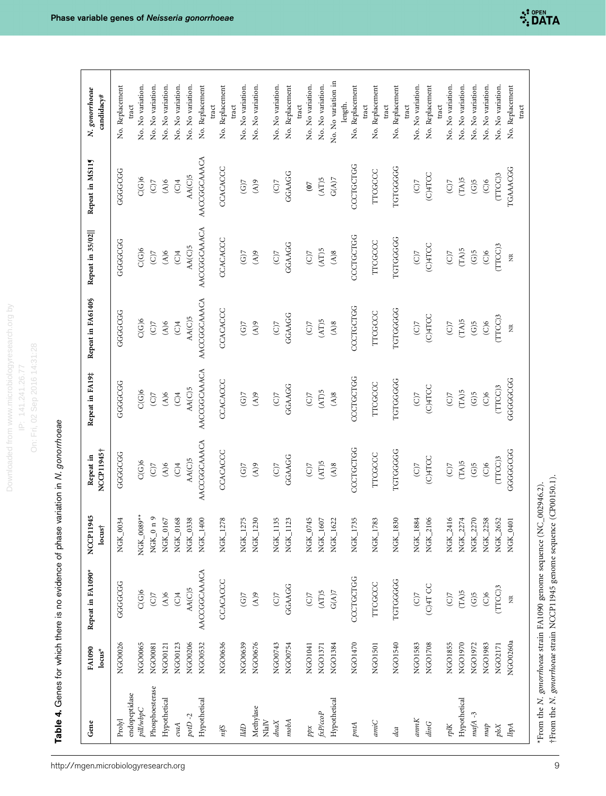esearch.org by Downloaded from www.microbiologyresearch.org by On: Fri, 02 Sep 2016 14:31:28 On: Fri, 02 Sep 2016 14:31:28 Downloaded from www.microbiologyr IP: 141.241.26.77 IP: 141.241.26.77

Table 4. Genes for which there is no evidence of phase variation in N. gonorrhoeae Table 4. Genes for which there is no evidence of phase variation in N. gonorrhoeae

http://mgen.microbiologyresearch.org

<span id="page-8-0"></span>

| Gene                    | FA1090<br>$\mathbf{locus}^\star$ | Repeat in FA1090*            | NCCP11945<br>$locus+$ | NCCP11945†<br>Repeat in    | Repeat in FA19‡          | Repeat in FA6140§         | Repeat in 35/02           | Repeat in MS115           | N. gonorrhoeae<br>candidacy# |
|-------------------------|----------------------------------|------------------------------|-----------------------|----------------------------|--------------------------|---------------------------|---------------------------|---------------------------|------------------------------|
| endopeptidase<br>Prolyl | NGO0026                          | GGGGGGG                      | NGK_0034              | GGGGGGG                    | agggggg                  | <b>GGGGGGG</b>            | GGGGGGG                   | GGGGGGG                   | No. Replacement<br>tract     |
| pillwbpC                | NGO0065                          | C(G)6                        | NGK_0089**            | $\mathrm{C}(\mathrm{G})6$  | C(G)6                    | C(G)6                     | C(G)6                     | C(G)6                     | No. No variation.            |
| Phosphoesterase         | NGO0081                          | $\overline{C}$               | NGK <sub>0</sub> n9   | (C)                        | (C)                      | $\overline{C}$            | (C)                       | (C)                       | No. No variation.            |
| Hypothetical            | NGO0121                          | $\widetilde{A}$ )6           | NGK_0167              | (A)6                       | $(A)$ 6                  | $\widetilde{A}$ )6        | (A)6                      | (A)6                      | No. No variation.            |
| cvaA                    | NGO0123                          | $\overline{C}$               | NGK_0168              | (C)4                       | $\overline{C}$           | $\overline{C}$            | $\widetilde{C}$           | (C)4                      | No. No variation.            |
| potD $-2$               | NGO0206                          | AA(C)5                       | NGK_0338              | AA(C)5                     | AA(C)5                   | AA(C)5                    | AA(C)5                    | AA(C)5                    | No. No variation.            |
| Hypothetical            | NGO0532                          | AACCGGCAAACA                 | NGK_1400              | AACCGGCAAACA               | AACCGGCAAACA             | AACCGGCAAACA              | AACCGGCAAACA              | AACCGGCAAACA              | No. Replacement              |
| niß                     | NGO0636                          | CCACACCC                     | NGK_1278              | CCACACCC                   | CCACACCC                 | CCACACCC                  | CCACACCC                  | CCACACCC                  | No. Replacement<br>tract     |
|                         |                                  |                              |                       |                            |                          |                           |                           |                           | tract                        |
| IldD                    | NGO0639                          | $(G)$ 7                      | NGK_1275              | $(G)$ 7                    | (G)                      | (G)                       | $(G)$ 7                   | (G)                       | No. No variation.            |
| Methylase               | NGO0676                          | 6(V)                         | NGK_1230              | $\mathcal{L}(\mathcal{A})$ | $\epsilon(\lambda)$      | $\mathcal{L}(\mathbb{A})$ | $\mathcal{L}(\mathbb{A})$ | ( A )                     | No. No variation.            |
| $_{\rm NlalV}$<br>dnaX  | NGO0743                          | $\overline{C}$               | NGK_1135              | $C$ )                      | $\widetilde{C}$          | $\widetilde{C}$           | $\widetilde{C}$           | $\widetilde{C}$           | No. No variation.            |
|                         |                                  |                              |                       |                            |                          |                           |                           |                           |                              |
| mobA                    | NGO0754                          | GGAAGG                       | NGK_1123              | GGAAGG                     | GGAAGG                   | GGAAGG                    | GGAAGG                    | GGAAGG                    | No. Replacement              |
|                         |                                  |                              |                       |                            |                          |                           |                           |                           | tract                        |
| ppx                     | NGO1041                          | $\overline{C}$               | NGK_0745              | (C)                        | $\widetilde{C}$          | $\overline{C}$            | $\overline{C}$            | $\overline{6}$            | No. No variation.            |
| fxP/ccoP                | NGO1371                          | (AT)5                        | NGK_1607              | (AT)5                      | (AT)5                    | (AT)5                     | (AT)5                     | $\rm (AT)5$               | No. No variation.            |
| Hypothetical            | NGO1384                          | $\mathcal{G}(\mathcal{A})$ 7 | ${\rm NGF\_}1622$     | (A)8                       | $\mathbf{8}(\mathbb{A})$ | $\mathbf{8}(\mathbf{A})$  | $\mathbf{8}(\mathbf{V})$  | $\mathbf{G}(\mathbf{A})7$ | No. No variation in          |
| pntA                    | NGO1470                          | CCCTGCTGG                    | NGK_1735              | CCCTGCTGG                  | CCCTGCTGG                | CCCTGCTGG                 | CCCTGCTGG                 | CCCTGCTGG                 | No. Replacement<br>length.   |
|                         |                                  |                              |                       |                            |                          |                           |                           |                           | tract                        |
| amiC                    | NGO1501                          | <b>TTCGCCC</b>               | NGK_1783              | TTCGCCC                    | TTCGCCC                  | TTCGCCC                   | <b>TTCGCCC</b>            | <b>TTCGCCC</b>            | No. Replacement              |
| dca                     | NGO1540                          | TGTGGGGG                     | NGK_1830              | <b>TGTGGGGG</b>            | <b>TGTGGGGG</b>          | <b>TGTGGGGG</b>           | <b>TGTGGGGG</b>           | <b>TGTGGGGG</b>           | No. Replacement<br>tract     |
|                         |                                  |                              |                       |                            |                          |                           |                           |                           | tract                        |
| annK                    | NGO1583                          | $\widetilde{C}$              | NGK_1884              | $\widetilde{C}$            | $\widetilde{C}$          | $\widetilde{C}$           | $\widetilde{C}$           | $\widetilde{C}$           | No. No variation.            |
| dinG                    | NGO1708                          | C)4T CC                      | NGK_2106              | C)4TCC                     | (C)4TCC                  | C)4TCC                    | (C)4TCC                   | C)4TCC                    | No. Replacement              |
|                         |                                  |                              |                       |                            |                          |                           |                           |                           | tract                        |
| rplK                    | NGO1855                          | $\widetilde{C}$              | NGK_2416              | $\overline{C}$             | $\widetilde{C}$          | $\overline{C}$            | $\overline{C}$            | $C$ )                     | No. No variation.            |
| Hypothetical            | NGO1970                          | (TA)5                        | NGK_2274              | $(TA)5$                    | (TA)5                    | (TA)5                     | (TA)5                     | (TA)5                     | No. No variation.            |
| $mafA - 3$              | NGO1972                          | $\widetilde{\text{G}}$ 5     | NGK_2270              | $\widetilde{\text{G}}$ 5   | $\rm(G)5$                | $\mathsf{G}(\mathsf{S})$  | $\rm (G)5$                | (G)5                      | No. No variation.            |
| map                     | NGO1983                          | $\widetilde{C}$              | NGK_2258              | $\widetilde{C}$            | $\widetilde{C}$          | $\widetilde{C}$           | $\widetilde{C}$           | $\widetilde{C}$           | No. No variation.            |
| $p$ ls $X$              | NGO2171                          | $(TTCC)$ 3                   | ${\rm N GK}\_2$ 652   | $(TTCC)$ 3                 | $(TTCC)$ 3               | (TTCC)3                   | $(TTCC)$ 3                | $(TTCC)$ 3                | No. No variation.            |
| lbpA                    | NGO0260a                         | $\widetilde{\Xi}$            | NGK_0401              | GGGGGGGG                   | GGGGGGGG                 | $\widetilde{\Xi}$         | $\widetilde{\Xi}$         | TGAAACGG                  | No. Replacement              |

\*From the N. gonorrhoeae strain FA1090 genome sequence (NC\_002946.2). †From the N. gonorrhoeae strain NCCP11945 genome sequence (CP00150.1).

†From the N. gonorrhoeae strain NCCP11945 genome sequence (CP00150.1). \*From the N. gonorrhoeae strain FA1090 genome sequence (NC\_002946.2).

tract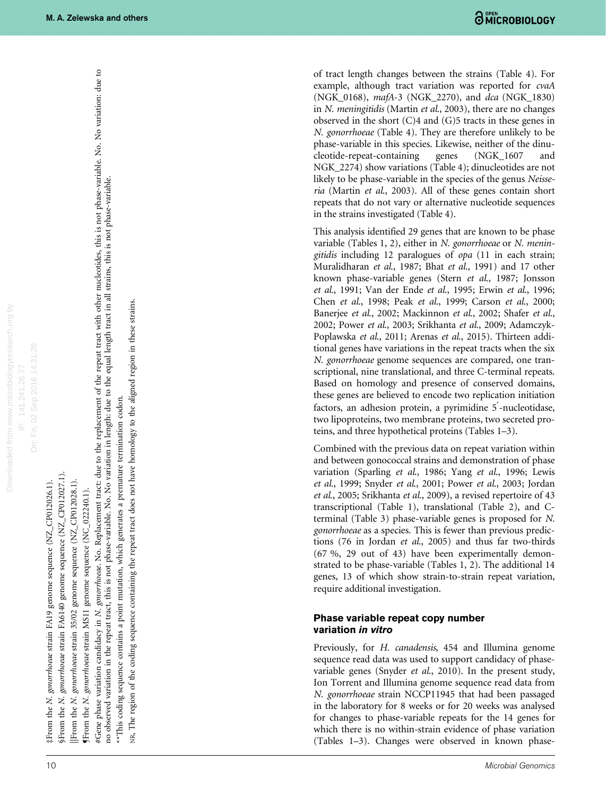On: Fri, 02 Sep 2016 14:31:28

On: Fri, 02 Sep 2016 14:31:28

‡From the N. gonorrhoeae strain FA19 genome sequence (NZ\_CP012026.1).

§From the N. gonorrhoeae strain FA6140 genome sequence (NZ\_CP012027.1).

genome sequence (NZ\_CP012028.1). |From the N. gonorrhoeae strain 35/02

**fFrom the N.** gonorrhoeae strain MS11 genome sequence (NC\_022240.1).

#Gene phase variation candidacy in N. gonorrhoeae. No. Replacement tract: due to the replacement of the repeat tract with other nucleotides, this is not phase-variable. No. No variation: due to #From the *N. gonorrhoea*e strain FA19 genome sequence (NZ\_CP012026.1).<br>§From the *N. gonorrhoeae* strain FA6140 genome sequence (NZ\_CP012026.1).<br>[From the *N. gonorrhoeae* strain 55/02 genome sequence (NZ\_CP012028.1).<br>¶Fr no observed variation in the repeat tract, this is not phase-variable. No. No variation in length: due to the equal length tract in all strains, this is not phase-variable. \*\*This coding sequence contains a point mutation, which generates a premature termination codon.

NR, The region of the coding sequence containing the repeat tract does not have homology to the aligned region in these strains.

of tract length changes between the strains [\(Table 4\)](#page-8-0). For example, although tract variation was reported for cvaA (NGK\_0168), mafA-3 (NGK\_2270), and dca (NGK\_1830) in N. meningitidis [\(Martin](#page-12-0) et al., 2003), there are no changes observed in the short (C)4 and (G)5 tracts in these genes in N. gonorrhoeae [\(Table 4\)](#page-8-0). They are therefore unlikely to be phase-variable in this species. Likewise, neither of the dinucleotide-repeat-containing genes (NGK\_1607 and NGK 2274) show variations ([Table 4\)](#page-8-0); dinucleotides are not likely to be phase-variable in the species of the genus Neisseria (Martin et al[., 2003\)](#page-12-0). All of these genes contain short repeats that do not vary or alternative nucleotide sequences in the strains investigated [\(Table 4](#page-8-0)).

This analysis identified 29 genes that are known to be phase variable (Tables 1, 2), either in N. gonorrhoeae or N. meningitidis including 12 paralogues of opa (11 in each strain; [Muralidharan](#page-12-0) et al., 1987; Bhat et al[., 1991](#page-12-0)) and 17 other known phase-variable genes (Stern et al[., 1987;](#page-13-0) [Jonsson](#page-12-0) et al[., 1991](#page-12-0); [Van der Ende](#page-13-0) et al., 1995; Erwin et al[., 1996;](#page-12-0) Chen et al[., 1998](#page-12-0); Peak et al[., 1999;](#page-12-0) Carson et al[., 2000;](#page-12-0) [Banerjee](#page-12-0) et al., 2002; [Mackinnon](#page-12-0) et al., 2002; [Shafer](#page-13-0) et al., [2002](#page-13-0); Power et al[., 2003;](#page-12-0) [Srikhanta](#page-13-0) et al., 2009; [Adamczyk-](#page-11-0)[Poplawska](#page-11-0) et al., 2011; [Arenas](#page-12-0) et al., 2015). Thirteen additional genes have variations in the repeat tracts when the six N. gonorrhoeae genome sequences are compared, one transcriptional, nine translational, and three C-terminal repeats. Based on homology and presence of conserved domains, these genes are believed to encode two replication initiation factors, an adhesion protein, a pyrimidine 5-nucleotidase, two lipoproteins, two membrane proteins, two secreted proteins, and three hypothetical proteins [\(Tables 1](#page-7-0)–3).

Combined with the previous data on repeat variation within and between gonococcal strains and demonstration of phase variation ([Sparling](#page-13-0) et al., 1986; Yang et al[., 1996;](#page-13-0) [Lewis](#page-12-0) et al[., 1999;](#page-12-0) Snyder et al[., 2001;](#page-13-0) Power et al[., 2003; Jordan](#page-12-0) et al[., 2005;](#page-12-0) [Srikhanta](#page-13-0) et al., 2009), a revised repertoire of 43 transcriptional [\(Table 1](#page-3-0)), translational ([Table 2](#page-4-0)), and Cterminal ([Table 3\)](#page-7-0) phase-variable genes is proposed for N. gonorrhoeae as a species. This is fewer than previous predictions (76 in Jordan et al[., 2005\)](#page-12-0) and thus far two-thirds (67 %, 29 out of 43) have been experimentally demonstrated to be phase-variable (Tables 1, 2). The additional 14 genes, 13 of which show strain-to-strain repeat variation, require additional investigation.

### Phase variable repeat copy number variation in vitro

Previously, for H. canadensis, 454 and Illumina genome sequence read data was used to support candidacy of phasevariable genes (Snyder et al[., 2010](#page-13-0)). In the present study, Ion Torrent and Illumina genome sequence read data from N. gonorrhoeae strain NCCP11945 that had been passaged in the laboratory for 8 weeks or for 20 weeks was analysed for changes to phase-variable repeats for the 14 genes for which there is no within-strain evidence of phase variation ([Tables 1](#page-7-0) –3). Changes were observed in known phase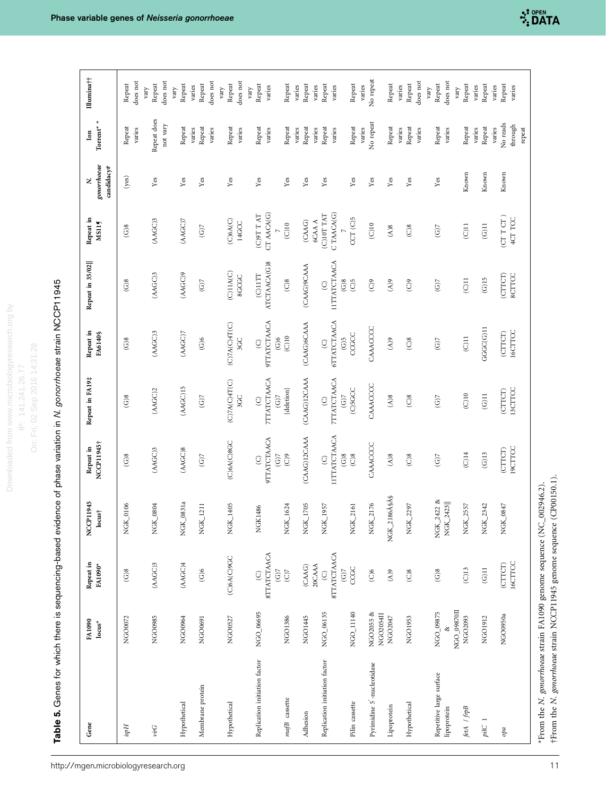Table 5. Genes for which there is sequencing-based evidence of phase variation in N. gonorrhoeae strain NCCP11945 Table 5. Genes for which there is sequencing-based evidence of phase variation in N. gonorrhoeae strain NCCP11945

<span id="page-10-0"></span>

| Gene                                    | FA1090<br>$locus^*$                 | Repeat in<br>FA1090*                     | NCCP11945<br>$locus\dagger$ | NCCP11945†<br>Repeat in                         | Repeat in FA19#                          | Repeat in<br>FA6140§                                          | Repeat in 35/02                                 | Repeat in<br>MS115         | gonorrhoeae<br>candidacy#<br>z. | Torrent* $^\star$<br>$\mathbf{lon}$     | Illumina††                   |
|-----------------------------------------|-------------------------------------|------------------------------------------|-----------------------------|-------------------------------------------------|------------------------------------------|---------------------------------------------------------------|-------------------------------------------------|----------------------------|---------------------------------|-----------------------------------------|------------------------------|
| Hosi                                    | NGO0072                             | (G)8                                     | NGK_0106                    | $\widetilde{\text{G}}$ 8                        | $\widetilde{\text{G}}$ 8                 | (G)8                                                          | (G)8                                            | $\widetilde{\text{G}}$ 8   | (yes)                           | Repeat<br>varies                        | does not<br>Repeat           |
| virG                                    | NGO0985                             | (AAGC)3                                  | NGK_0804                    | (AAGC)3                                         | (ABC)2                                   | (AGC)3                                                        | (AAGC)3                                         | (AGC)3                     | Yes                             | Repeat does<br>not vary                 | does not<br>Repeat<br>vary   |
| Hypothetical                            | NGO0964                             | (ABC)4                                   | NGK_0831a                   | (AAGC)8                                         | (AGC)15                                  | (ABC)7                                                        | (AGC)9                                          | (ABC)7                     | ${\it Yes}$                     | Repeat                                  | Repeat<br>vary               |
| Membrane protein                        | NGO0691                             | $\widetilde{\text{G}}$ 6                 | NGK_1211                    | $\overline{\text{G}}$                           | $\overline{\text{G}}$                    | $\widetilde{\text{G}}$ 6                                      | $\rm (G)$                                       | $\rm (G)$                  | ${\it Yes}$                     | Repeat<br>varies<br>varies              | does not<br>Repeat<br>varies |
| Hypothetical                            | NGO0527                             | (C)6A(C)9GC                              | NGK_1405                    | (C)6A(C)8GC                                     | (C)7A(C)4T(C)<br>3GC                     | (C)TA(C)AT(C)<br>3GC                                          | (C)11A(C)<br>8GCGC                              | (C)6A(C)<br>14GCC          | Yes                             | Repeat<br>varies                        | does not<br>Repeat<br>yary   |
| Replication initiation factor           | NGO_06695                           | <b>8TTATCTAACA</b><br>$\odot$<br>$(G)$ 7 | NGK1486                     | <b>9TTATCTAACA</b><br>$\odot$<br>$\overline{G}$ | <b>7TTATCTAACA</b><br>(G)<br>$\odot$     | <b>9TTATCTAACA</b><br>$\widetilde{G}$ 6<br>$\odot$            | ATCTAACA(G)8<br>$C$ ) $11TT$                    | CT AACA(G)<br>$(TA)$ $T A$ | Yes                             | Repeat<br>varies                        | Repeat<br>varies<br>vary     |
| mafB cassette                           | NGO1386                             | $\overline{C}$                           | NGK_1624                    | $\odot$                                         | $\{delection\}$                          | $\left( \text{C}\right)$ 10                                   | (C)8                                            | (C)10                      | Yes                             | Repeat                                  | Repeat                       |
| Adhesion                                | NGO1445                             | 20CAAA<br>(CAAG)                         | NGK_1705                    | (CAAG)12CAAA                                    | (CAAG)12CAAA                             | (CAAG)6CAAA                                                   | (CAAG)9CAAA                                     | 6CAA A<br>(CAAG)           | Yes                             | Repeat<br>varies                        | Repeat<br>varies             |
| Replication initiation factor           | NGO_06135                           | <b>STTATCTAACA</b><br>$(G)$ 7<br>$\odot$ | NGK_1957                    | <b>IITTATCTAACA</b><br>$\odot$                  | <b>7TTATCTAACA</b><br>$(G)$ 7<br>$\odot$ | <b>GTTATCTAACA</b><br>$\widetilde{\mathcal{G}}(G)$<br>$\odot$ | <b>IITTATCTAACA</b><br>$\mathcal{C}$<br>$\odot$ | C TAACA(G)<br>(C)10T TAT   | Yes                             | Repeat<br>varies<br>varies              | Repeat<br>varies<br>varies   |
| Pilin cassette                          | NGO_11140                           | CCGC                                     | NGK_2161                    | (G)8<br>$\odot$ 8                               | (C)5GCC                                  | CCGCC                                                         | (C)5                                            | CCT (C)5                   | Yes                             | Repeat                                  | Repeat                       |
| Pyrimidine 5'-nucleotidase              | NGO2055 &<br>NGO <sub>2054</sub> II | $\widetilde{C}$                          | NGK_2176                    | CAAACCCC                                        | CAAACCCC                                 | CAAACCCC                                                      | $\widetilde{C}$                                 | (C)10                      | Yes                             | No repeat<br>varies                     | No repeat<br>varies          |
| Lipoprotein                             | NGO2047                             | $\mathcal{L}(\mathbb{A})$                | NGK_2186ŧŧ                  | $(A)$ 8                                         | (A)8                                     | $\epsilon(y)$                                                 | $\epsilon(y)$                                   | $(A)$ 8                    | Yes                             | Repeat<br>varies                        | Repeat<br>varies             |
| Hypothetical                            | NGO1953                             | $\widetilde{C}$                          | NGK_2297                    | $\overline{C}$ 8                                | $\overline{C}$ )8                        | $\widetilde{C}$                                               | $\odot$                                         | $\widetilde{C}$            | Yes                             | Repeat<br>varies                        | does not<br>Repeat           |
| Repetitive large surface<br>lipoprotein | NGO_09875                           | $\widetilde{\text{G}}$ 8                 | NGK_2422 &<br>NGK_2423      | (G)                                             | $(G)$ 7                                  | (G)                                                           | (G)                                             | (G)                        | Yes                             | Repeat<br>varies                        | does not<br>Repeat<br>vary   |
| fetA / frpB                             | NGO_09870II<br>NGO2093              | (C)13                                    | NGK_2557                    | $\overline{C}$ 14                               | (C)10                                    | $(C)$ 11                                                      | $\Xi$                                           | $(C)$ 11                   | Known                           | Repeat                                  | Repeat<br>vary               |
| pilC                                    | NGO1912                             | $\Xi$                                    | NGK_2342                    | $\left( \mathrm{G}\right) 13$                   | $\Xi$                                    | GGC(G)11                                                      | $\rm (G)15$                                     | $\overline{\text{G}}$ 11   | Known                           | Repeat<br>varies                        | Repeat<br>varies             |
| $^{opa}$                                | NGO0950a                            | 16CTTCC<br>(CTTCT)                       | NGK_0847                    | 19CTTCC<br>(CTTCT)                              | 13CTTCC<br>(CTTCT)                       | 16CTTCC<br>(CTTCT)                                            | (CTTCT)<br><b>SCTTCC</b>                        | $(CTTCT)$<br>4CT TCC       | Known                           | No reads<br>through<br>repeat<br>varies | Repeat<br>varies<br>varies   |

\*From the N. gonorrhoeae strain FA1090 genome sequence (NC\_002946.2). †From the N. gonorrhoeae strain NCCP11945 genome sequence (CP00150.1).

†From the N. gonorrhoeae strain NCCP11945 genome sequence (CP00150.1). \*From the N. gonorrhoeae strain FA1090 genome sequence (NC\_002946.2).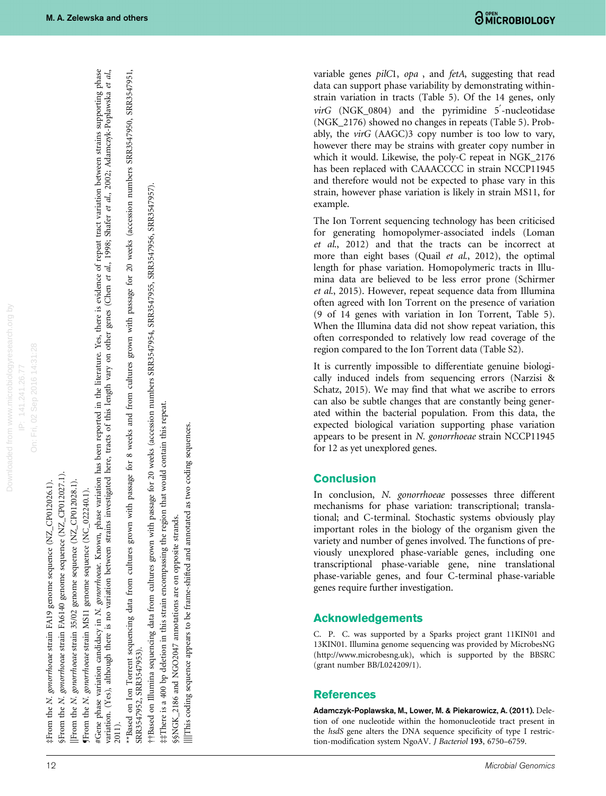On: Fri, 02 Sep 2016 14:31:28 On: Fri, 02 Sep 2016 14:31:28

‡From the *N. gonorrhoeae* strain FA19 genome sequence (NZ\_CP012026.1). From the N. gonorrhoeae strain FA19 genome sequence (NZ\_CP012026.1).

§From the N. gonorrhoeae strain FA6140 genome sequence (NZ\_CP012027.1). §From the N. gonorrhoeae strain FA6140 genome sequence (NZ\_CP012027.1).

genome sequence (NZ\_CP012028.1). ||From the N. gonorrhoeae strain 35/02 genome sequence (NZ\_CP012028.1). From the N. gonorrhoeae strain 35/02

**JErom** the N. gonorrhoene strain MS11 genome sequence (NC\_022240.1). ¶From the N. gonorrhoeae strain MS11 genome sequence (NC\_022240.1).

<span id="page-11-0"></span>#Gene phase variation candidacy in N. gonorrhoeae. Known, phase variation has been reported in the literature. Yes, there is evidence of repeat tract variation between strains supporting phase #Gene phase variation candidacy in N. gonorrhoeae. Known, phase variation has been reported in the literature. Yes, there is evidence of repeat tract variation between strains supporting phase variation. (Yes), although there is no variation between strains investigated here, tracts of this length vary on other genes (Chen et al., 1998; Shafer et al., 2002; Adamczyk-Poplawska et al., variation. (Yes), although there is no variation between strains investigated here, tracts of this length vary on other genes ([Chen](#page-12-0) et al., 1998; [Shafer](#page-13-0) et al., 2002; Adamczyk-Poplawska et al., 2014; 2003; Adamczyk-Poplaws 2011).

\*\*Based on Ion Torrent sequencing data from cultures grown with passage for 8 weeks and from cultures grown with passage for 20 weeks (accession numbers SRR3547950, SRR3547951, \*\*Based on Ion Torrent sequencing data from cultures grown with passage for 8 weeks and from cultures grown with passage for 20 weeks (accession numbers SRR3547950, SRR3547951, SRR3547952, SRR3547953). SRR3547952, SRR3547953).

††Based on Illumina sequencing data from cultures grown with passage for 20 weeks (accession numbers SRR3547954, SRR3547955, SRR3547956, SRR3547957). ##Based on Illumina sequencing data from cultures grown with passage for 20 weeks (accession numbers SRR3547954, SRR3547955, SRR3547956, SRR3547957)

##There is a 400 bp deletion in this strain encompassing the region that would contain this repeat. ‡‡There is a 400 bp deletion in this strain encompassing the region that would contain this repeat.

§§NGK\_2186 and NGO2047 annotations are on opposite strands. §§NGK\_2186 and NGO2047 annotations are on opposite strands.

IllThis coding sequence appears to be frame-shifted and annotated as two coding sequences. ||||This coding sequence appears to be frame-shifted and annotated as two coding sequences. variable genes pilC1, opa , and fetA, suggesting that read data can support phase variability by demonstrating withinstrain variation in tracts ([Table 5](#page-10-0)). Of the 14 genes, only virG (NGK\_0804) and the pyrimidine 5'-nucleotidase (NGK\_2176) showed no changes in repeats [\(Table 5](#page-10-0)). Probably, the virG (AAGC)3 copy number is too low to vary, however there may be strains with greater copy number in which it would. Likewise, the poly-C repeat in NGK\_2176 has been replaced with CAAACCCC in strain NCCP11945 and therefore would not be expected to phase vary in this strain, however phase variation is likely in strain MS11, for example.

The Ion Torrent sequencing technology has been criticised for generating homopolymer-associated indels [\(Loman](#page-12-0) et al[., 2012\)](#page-12-0) and that the tracts can be incorrect at more than eight bases (Quail et al[., 2012](#page-12-0)), the optimal length for phase variation. Homopolymeric tracts in Illumina data are believed to be less error prone [\(Schirmer](#page-13-0) et al[., 2015](#page-13-0)). However, repeat sequence data from Illumina often agreed with Ion Torrent on the presence of variation (9 of 14 genes with variation in Ion Torrent, [Table 5](#page-10-0)). When the Illumina data did not show repeat variation, this often corresponded to relatively low read coverage of the region compared to the Ion Torrent data (Table S2).

It is currently impossible to differentiate genuine biologically induced indels from sequencing errors [\(Narzisi &](#page-12-0) [Schatz, 2015](#page-12-0)). We may find that what we ascribe to errors can also be subtle changes that are constantly being generated within the bacterial population. From this data, the expected biological variation supporting phase variation appears to be present in N. gonorrhoeae strain NCCP11945 for 12 as yet unexplored genes.

# Conclusion

In conclusion, N. gonorrhoeae possesses three different mechanisms for phase variation: transcriptional; translational; and C-terminal. Stochastic systems obviously play important roles in the biology of the organism given the variety and number of genes involved. The functions of previously unexplored phase-variable genes, including one transcriptional phase-variable gene, nine translational phase-variable genes, and four C-terminal phase-variable genes require further investigation.

# Acknowledgements

C. P. C. was supported by a Sparks project grant 11KIN01 and 13KIN01. Illumina genome sequencing was provided by MicrobesNG [\(http://www.microbesng.uk\)](http://www.microbesng.uk), which is supported by the BBSRC (grant number BB/L024209/1).

# **References**

Adamczyk-Poplawska, M., Lower, M. & Piekarowicz, A. (2011). Deletion of one nucleotide within the homonucleotide tract present in the hsdS gene alters the DNA sequence specificity of type I restric tion-modification system NgoAV. J Bacteriol 193, 6750-6759.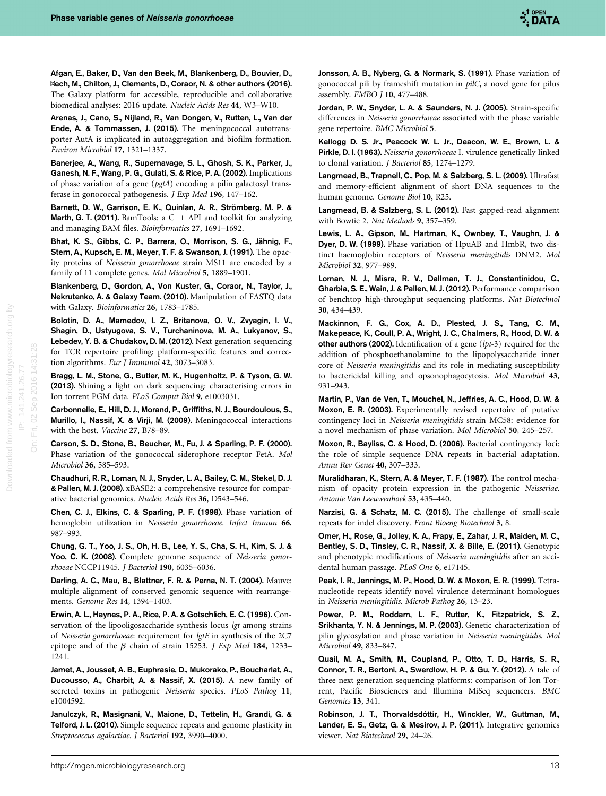<span id="page-12-0"></span>Afgan, E., Baker, D., Van den Beek, M., Blankenberg, D., Bouvier, D., Čech, M., Chilton, J., Clements, D., Coraor, N. & other authors (2016). The Galaxy platform for accessible, reproducible and collaborative biomedical analyses: 2016 update. Nucleic Acids Res 44, W3–W10.

Arenas, J., Cano, S., Nijland, R., Van Dongen, V., Rutten, L., Van der Ende, A. & Tommassen, J. (2015). The meningococcal autotransporter AutA is implicated in autoaggregation and biofilm formation. Environ Microbiol 17, 1321–1337.

Banerjee, A., Wang, R., Supernavage, S. L., Ghosh, S. K., Parker, J., Ganesh, N. F., Wang, P. G., Gulati, S. & Rice, P. A. (2002). Implications of phase variation of a gene (pgtA) encoding a pilin galactosyl transferase in gonococcal pathogenesis. J Exp Med 196, 147–162.

Barnett, D. W., Garrison, E. K., Quinlan, A. R., Strömberg, M. P. & Marth, G. T. (2011). BamTools: a C++ API and toolkit for analyzing and managing BAM files. Bioinformatics 27, 1691–1692.

Bhat, K. S., Gibbs, C. P., Barrera, O., Morrison, S. G., Jähnig, F., Stern, A., Kupsch, E. M., Meyer, T. F. & Swanson, J. (1991). The opacity proteins of Neisseria gonorrhoeae strain MS11 are encoded by a family of 11 complete genes. Mol Microbiol 5, 1889–1901.

Blankenberg, D., Gordon, A., Von Kuster, G., Coraor, N., Taylor, J., Nekrutenko, A. & Galaxy Team. (2010). Manipulation of FASTQ data with Galaxy. Bioinformatics 26, 1783–1785.

Bolotin, D. A., Mamedov, I. Z., Britanova, O. V., Zvyagin, I. V., Shagin, D., Ustyugova, S. V., Turchaninova, M. A., Lukyanov, S., Lebedev, Y. B. & Chudakov, D. M. (2012). Next generation sequencing for TCR repertoire profiling: platform-specific features and correction algorithms. Eur J Immunol 42, 3073–3083.

Bragg, L. M., Stone, G., Butler, M. K., Hugenholtz, P. & Tyson, G. W. (2013). Shining a light on dark sequencing: characterising errors in Ion torrent PGM data. PLoS Comput Biol 9, e1003031.

Carbonnelle, E., Hill, D. J., Morand, P., Griffiths, N. J., Bourdoulous, S., Murillo, I., Nassif, X. & Virji, M. (2009). Meningococcal interactions with the host. Vaccine 27, B78–89.

Carson, S. D., Stone, B., Beucher, M., Fu, J. & Sparling, P. F. (2000). Phase variation of the gonococcal siderophore receptor FetA. Mol Microbiol 36, 585–593.

Chaudhuri, R. R., Loman, N. J., Snyder, L. A., Bailey, C. M., Stekel, D. J. & Pallen, M. J. (2008). xBASE2: a comprehensive resource for comparative bacterial genomics. Nucleic Acids Res 36, D543–546.

Chen, C. J., Elkins, C. & Sparling, P. F. (1998). Phase variation of hemoglobin utilization in Neisseria gonorrhoeae. Infect Immun 66, 987–993.

Chung, G. T., Yoo, J. S., Oh, H. B., Lee, Y. S., Cha, S. H., Kim, S. J. & Yoo, C. K. (2008). Complete genome sequence of Neisseria gonorrhoeae NCCP11945. J Bacteriol 190, 6035–6036.

Darling, A. C., Mau, B., Blattner, F. R. & Perna, N. T. (2004). Mauve: multiple alignment of conserved genomic sequence with rearrangements. Genome Res 14, 1394–1403.

Erwin, A. L., Haynes, P. A., Rice, P. A. & Gotschlich, E. C. (1996). Conservation of the lipooligosaccharide synthesis locus lgt among strains of Neisseria gonorrhoeae: requirement for lgtE in synthesis of the 2C7 epitope and of the  $\beta$  chain of strain 15253. J Exp Med 184, 1233– 1241.

Jamet, A., Jousset, A. B., Euphrasie, D., Mukorako, P., Boucharlat, A., Ducousso, A., Charbit, A. & Nassif, X. (2015). A new family of secreted toxins in pathogenic Neisseria species. PLoS Pathog 11, e1004592.

Janulczyk, R., Masignani, V., Maione, D., Tettelin, H., Grandi, G. & Telford, J. L. (2010). Simple sequence repeats and genome plasticity in Streptococcus agalactiae. J Bacteriol 192, 3990–4000.

Jonsson, A. B., Nyberg, G. & Normark, S. (1991). Phase variation of gonococcal pili by frameshift mutation in pilC, a novel gene for pilus assembly. EMBO J 10, 477–488.

Jordan, P. W., Snyder, L. A. & Saunders, N. J. (2005). Strain-specific differences in Neisseria gonorrhoeae associated with the phase variable gene repertoire. BMC Microbiol 5.

Kellogg D. S. Jr., Peacock W. L. Jr., Deacon, W. E., Brown, L. & Pirkle, D. I. (1963). Neisseria gonorrhoeae I. virulence genetically linked to clonal variation. J Bacteriol 85, 1274–1279.

Langmead, B., Trapnell, C., Pop, M. & Salzberg, S. L. (2009). Ultrafast and memory-efficient alignment of short DNA sequences to the human genome. Genome Biol 10, R25.

Langmead, B. & Salzberg, S. L. (2012). Fast gapped-read alignment with Bowtie 2. Nat Methods 9, 357–359.

Lewis, L. A., Gipson, M., Hartman, K., Ownbey, T., Vaughn, J. & Dyer, D. W. (1999). Phase variation of HpuAB and HmbR, two distinct haemoglobin receptors of Neisseria meningitidis DNM2. Mol Microbiol 32, 977–989.

Loman, N. J., Misra, R. V., Dallman, T. J., Constantinidou, C., Gharbia, S. E., Wain, J. & Pallen, M. J. (2012). Performance comparison of benchtop high-throughput sequencing platforms. Nat Biotechnol 30, 434–439.

Mackinnon, F. G., Cox, A. D., Plested, J. S., Tang, C. M., Makepeace, K., Coull, P. A., Wright, J. C., Chalmers, R., Hood, D. W. & other authors (2002). Identification of a gene  $(lpt-3)$  required for the addition of phosphoethanolamine to the lipopolysaccharide inner core of Neisseria meningitidis and its role in mediating susceptibility to bactericidal killing and opsonophagocytosis. Mol Microbiol 43, 931–943.

Martin, P., Van de Ven, T., Mouchel, N., Jeffries, A. C., Hood, D. W. & Moxon, E. R. (2003). Experimentally revised repertoire of putative contingency loci in Neisseria meningitidis strain MC58: evidence for a novel mechanism of phase variation. Mol Microbiol 50, 245–257.

Moxon, R., Bayliss, C. & Hood, D. (2006). Bacterial contingency loci: the role of simple sequence DNA repeats in bacterial adaptation. Annu Rev Genet 40, 307–333.

Muralidharan, K., Stern, A. & Meyer, T. F. (1987). The control mechanism of opacity protein expression in the pathogenic Neisseriae. Antonie Van Leeuwenhoek 53, 435–440.

Narzisi, G. & Schatz, M. C. (2015). The challenge of small-scale repeats for indel discovery. Front Bioeng Biotechnol 3, 8.

Omer, H., Rose, G., Jolley, K. A., Frapy, E., Zahar, J. R., Maiden, M. C., Bentley, S. D., Tinsley, C. R., Nassif, X. & Bille, E. (2011). Genotypic and phenotypic modifications of Neisseria meningitidis after an accidental human passage. PLoS One 6, e17145.

Peak, I. R., Jennings, M. P., Hood, D. W. & Moxon, E. R. (1999). Tetranucleotide repeats identify novel virulence determinant homologues in Neisseria meningitidis. Microb Pathog 26, 13–23.

Power, P. M., Roddam, L. F., Rutter, K., Fitzpatrick, S. Z., Srikhanta, Y. N. & Jennings, M. P. (2003). Genetic characterization of pilin glycosylation and phase variation in Neisseria meningitidis. Mol Microbiol 49, 833–847.

Quail, M. A., Smith, M., Coupland, P., Otto, T. D., Harris, S. R., Connor, T. R., Bertoni, A., Swerdlow, H. P. & Gu, Y. (2012). A tale of three next generation sequencing platforms: comparison of Ion Torrent, Pacific Biosciences and Illumina MiSeq sequencers. BMC Genomics 13, 341.

Robinson, J. T., Thorvaldsdóttir, H., Winckler, W., Guttman, M., Lander, E. S., Getz, G. & Mesirov, J. P. (2011). Integrative genomics viewer. Nat Biotechnol 29, 24–26.